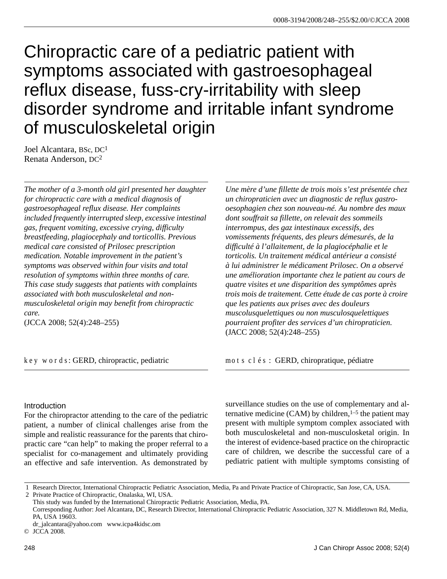# Chiropractic care of a pediatric patient with symptoms associated with gastroesophageal reflux disease, fuss-cry-irritability with sleep disorder syndrome and irritable infant syndrome of musculoskeletal origin

Joel Alcantara, BSc, DC1 Renata Anderson, DC2

*The mother of a 3-month old girl presented her daughter for chiropractic care with a medical diagnosis of gastroesophageal reflux disease. Her complaints included frequently interrupted sleep, excessive intestinal gas, frequent vomiting, excessive crying, difficulty breastfeeding, plagiocephaly and torticollis. Previous medical care consisted of Prilosec prescription medication. Notable improvement in the patient's symptoms was observed within four visits and total resolution of symptoms within three months of care. This case study suggests that patients with complaints associated with both musculoskeletal and nonmusculoskeletal origin may benefit from chiropractic care.*

(JCCA 2008; 52(4):248–255)

key words: GERD, chiropractic, pediatric

*Une mère d'une fillette de trois mois s'est présentée chez un chiropraticien avec un diagnostic de reflux gastrooesophagien chez son nouveau-né. Au nombre des maux dont souffrait sa fillette, on relevait des sommeils interrompus, des gaz intestinaux excessifs, des vomissements fréquents, des pleurs démesurés, de la difficulté à l'allaitement, de la plagiocéphalie et le torticolis. Un traitement médical antérieur a consisté à lui administrer le médicament Prilosec. On a observé une amélioration importante chez le patient au cours de quatre visites et une disparition des symptômes après trois mois de traitement. Cette étude de cas porte à croire que les patients aux prises avec des douleurs muscolusquelettiques ou non musculosquelettiques pourraient profiter des services d'un chiropraticien.* (JACC 2008; 52(4):248–255)

mots clés : GERD, chiropratique, pédiatre

# **Introduction**

For the chiropractor attending to the care of the pediatric patient, a number of clinical challenges arise from the simple and realistic reassurance for the parents that chiropractic care "can help" to making the proper referral to a specialist for co-management and ultimately providing an effective and safe intervention. As demonstrated by

surveillance studies on the use of complementary and alternative medicine (CAM) by children,  $1-5$  the patient may present with multiple symptom complex associated with both musculoskeletal and non-musculosketal origin. In the interest of evidence-based practice on the chiropractic care of children, we describe the successful care of a pediatric patient with multiple symptoms consisting of

 <sup>1</sup> Research Director, International Chiropractic Pediatric Association, Media, Pa and Private Practice of Chiropractic, San Jose, CA, USA.

 <sup>2</sup> Private Practice of Chiropractic, Onalaska, WI, USA.

This study was funded by the International Chiropractic Pediatric Association, Media, PA.

Corresponding Author: Joel Alcantara, DC, Research Director, International Chiropractic Pediatric Association, 327 N. Middletown Rd, Media, PA, USA 19603.

dr\_jalcantara@yahoo.com www.icpa4kidsc.om

<sup>©</sup> JCCA 2008.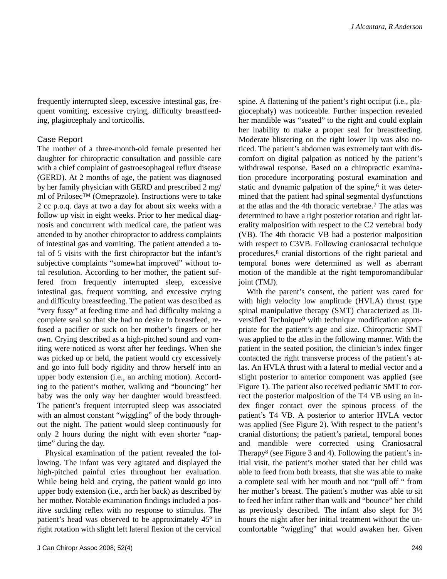frequently interrupted sleep, excessive intestinal gas, frequent vomiting, excessive crying, difficulty breastfeeding, plagiocephaly and torticollis.

#### Case Report

The mother of a three-month-old female presented her daughter for chiropractic consultation and possible care with a chief complaint of gastroesophageal reflux disease (GERD). At 2 months of age, the patient was diagnosed by her family physician with GERD and prescribed 2 mg/ ml of Prilosec™ (Omeprazole). Instructions were to take 2 cc p.o.q. days at two a day for about six weeks with a follow up visit in eight weeks. Prior to her medical diagnosis and concurrent with medical care, the patient was attended to by another chiropractor to address complaints of intestinal gas and vomiting. The patient attended a total of 5 visits with the first chiropractor but the infant's subjective complaints "somewhat improved" without total resolution. According to her mother, the patient suffered from frequently interrupted sleep, excessive intestinal gas, frequent vomiting, and excessive crying and difficulty breastfeeding. The patient was described as "very fussy" at feeding time and had difficulty making a complete seal so that she had no desire to breastfeed, refused a pacifier or suck on her mother's fingers or her own. Crying described as a high-pitched sound and vomiting were noticed as worst after her feedings. When she was picked up or held, the patient would cry excessively and go into full body rigidity and throw herself into an upper body extension (i.e., an arching motion). According to the patient's mother, walking and "bouncing" her baby was the only way her daughter would breastfeed. The patient's frequent interrupted sleep was associated with an almost constant "wiggling" of the body throughout the night. The patient would sleep continuously for only 2 hours during the night with even shorter "naptime" during the day.

Physical examination of the patient revealed the following. The infant was very agitated and displayed the high-pitched painful cries throughout her evaluation. While being held and crying, the patient would go into upper body extension (i.e., arch her back) as described by her mother. Notable examination findings included a positive suckling reflex with no response to stimulus. The patient's head was observed to be approximately 45º in right rotation with slight left lateral flexion of the cervical spine. A flattening of the patient's right occiput (i.e., plagiocephaly) was noticeable. Further inspection revealed her mandible was "seated" to the right and could explain her inability to make a proper seal for breastfeeding. Moderate blistering on the right lower lip was also noticed. The patient's abdomen was extremely taut with discomfort on digital palpation as noticed by the patient's withdrawal response. Based on a chiropractic examination procedure incorporating postural examination and static and dynamic palpation of the spine,<sup>6</sup> it was determined that the patient had spinal segmental dysfunctions at the atlas and the 4th thoracic vertebrae.7 The atlas was determined to have a right posterior rotation and right laterality malposition with respect to the C2 vertebral body (VB). The 4th thoracic VB had a posterior malposition with respect to C3VB. Following craniosacral technique procedures,8 cranial distortions of the right parietal and temporal bones were determined as well as aberrant motion of the mandible at the right temporomandibular joint (TMJ).

With the parent's consent, the patient was cared for with high velocity low amplitude (HVLA) thrust type spinal manipulative therapy (SMT) characterized as Diversified Technique<sup>9</sup> with technique modification appropriate for the patient's age and size. Chiropractic SMT was applied to the atlas in the following manner. With the patient in the seated position, the clinician's index finger contacted the right transverse process of the patient's atlas. An HVLA thrust with a lateral to medial vector and a slight posterior to anterior component was applied (see Figure 1). The patient also received pediatric SMT to correct the posterior malposition of the T4 VB using an index finger contact over the spinous process of the patient's T4 VB. A posterior to anterior HVLA vector was applied (See Figure 2). With respect to the patient's cranial distortions; the patient's parietal, temporal bones and mandible were corrected using Craniosacral Therapy8 (see Figure 3 and 4). Following the patient's initial visit, the patient's mother stated that her child was able to feed from both breasts, that she was able to make a complete seal with her mouth and not "pull off " from her mother's breast. The patient's mother was able to sit to feed her infant rather than walk and "bounce" her child as previously described. The infant also slept for 3½ hours the night after her initial treatment without the uncomfortable "wiggling" that would awaken her. Given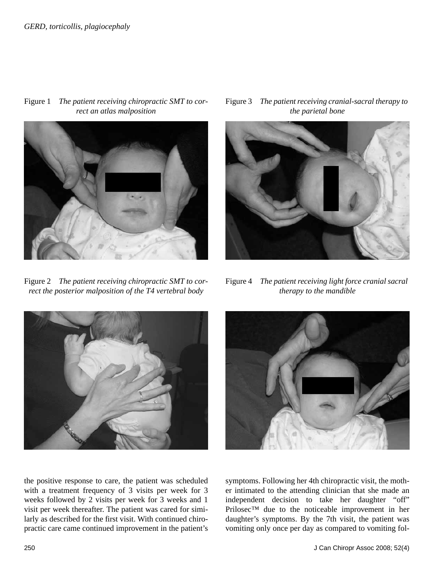

Figure 1 *The patient receiving chiropractic SMT to correct an atlas malposition*

Figure 2 *The patient receiving chiropractic SMT to correct the posterior malposition of the T4 vertebral body*





Figure 4 *The patient receiving light force cranial sacral therapy to the mandible*





the positive response to care, the patient was scheduled with a treatment frequency of 3 visits per week for 3 weeks followed by 2 visits per week for 3 weeks and 1 visit per week thereafter. The patient was cared for similarly as described for the first visit. With continued chiropractic care came continued improvement in the patient's

symptoms. Following her 4th chiropractic visit, the mother intimated to the attending clinician that she made an independent decision to take her daughter "off" Prilosec™ due to the noticeable improvement in her daughter's symptoms. By the 7th visit, the patient was vomiting only once per day as compared to vomiting fol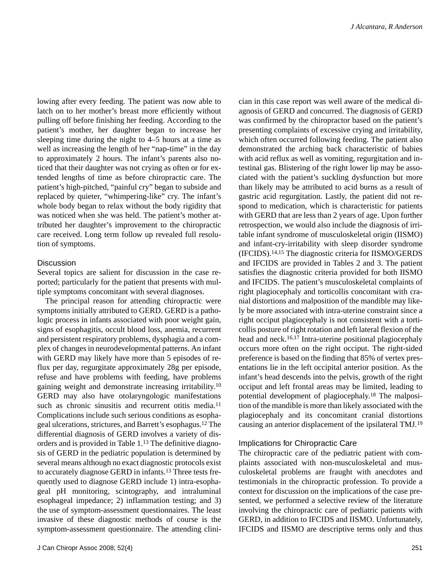lowing after every feeding. The patient was now able to latch on to her mother's breast more efficiently without pulling off before finishing her feeding. According to the patient's mother, her daughter began to increase her sleeping time during the night to 4–5 hours at a time as well as increasing the length of her "nap-time" in the day to approximately 2 hours. The infant's parents also noticed that their daughter was not crying as often or for extended lengths of time as before chiropractic care. The patient's high-pitched, "painful cry" began to subside and replaced by quieter, "whimpering-like" cry. The infant's whole body began to relax without the body rigidity that was noticed when she was held. The patient's mother attributed her daughter's improvement to the chiropractic care received. Long term follow up revealed full resolution of symptoms.

### **Discussion**

Several topics are salient for discussion in the case reported; particularly for the patient that presents with multiple symptoms concomitant with several diagnoses.

The principal reason for attending chiropractic were symptoms initially attributed to GERD. GERD is a pathologic process in infants associated with poor weight gain, signs of esophagitis, occult blood loss, anemia, recurrent and persistent respiratory problems, dysphagia and a complex of changes in neurodevelopmental patterns. An infant with GERD may likely have more than 5 episodes of reflux per day, regurgitate approximately 28g per episode, refuse and have problems with feeding, have problems gaining weight and demonstrate increasing irritability.10 GERD may also have otolaryngologic manifestations such as chronic sinusitis and recurrent otitis media.<sup>11</sup> Complications include such serious conditions as esophageal ulcerations, strictures, and Barrett's esophagus.12 The differential diagnosis of GERD involves a variety of disorders and is provided in Table 1.13 The definitive diagnosis of GERD in the pediatric population is determined by several means although no exact diagnostic protocols exist to accurately diagnose GERD in infants.13 Three tests frequently used to diagnose GERD include 1) intra-esophageal pH monitoring, scintography, and intraluminal esophageal impedance; 2) inflammation testing; and 3) the use of symptom-assessment questionnaires. The least invasive of these diagnostic methods of course is the symptom-assessment questionnaire. The attending clinician in this case report was well aware of the medical diagnosis of GERD and concurred. The diagnosis of GERD was confirmed by the chiropractor based on the patient's presenting complaints of excessive crying and irritability, which often occurred following feeding. The patient also demonstrated the arching back characteristic of babies with acid reflux as well as vomiting, regurgitation and intestinal gas. Blistering of the right lower lip may be associated with the patient's suckling dysfunction but more than likely may be attributed to acid burns as a result of gastric acid regurgitation. Lastly, the patient did not respond to medication, which is characteristic for patients with GERD that are less than 2 years of age. Upon further retrospection, we would also include the diagnosis of irritable infant syndrome of musculoskeletal origin (IISMO) and infant-cry-irritability with sleep disorder syndrome (IFCIDS).14,15 The diagnostic criteria for IISMO/GERDS and IFCIDS are provided in Tables 2 and 3. The patient satisfies the diagnostic criteria provided for both IISMO and IFCIDS. The patient's musculoskeletal complaints of right plagiocephaly and torticollis concomitant with cranial distortions and malposition of the mandible may likely be more associated with intra-uterine constraint since a right occiput plagiocephaly is not consistent with a torticollis posture of right rotation and left lateral flexion of the head and neck.16,17 Intra-uterine positional plagiocephaly occurs more often on the right occiput. The right-sided preference is based on the finding that 85% of vertex presentations lie in the left occipital anterior position. As the infant's head descends into the pelvis, growth of the right occiput and left frontal areas may be limited, leading to potential development of plagiocephaly.18 The malposition of the mandible is more than likely associated with the plagiocephaly and its concomitant cranial distortions causing an anterior displacement of the ipsilateral TMJ.19

#### Implications for Chiropractic Care

The chiropractic care of the pediatric patient with complaints associated with non-musculoskeletal and musculoskeletal problems are fraught with anecdotes and testimonials in the chiropractic profession. To provide a context for discussion on the implications of the case presented, we performed a selective review of the literature involving the chiropractic care of pediatric patients with GERD, in addition to IFCIDS and IISMO. Unfortunately, IFCIDS and IISMO are descriptive terms only and thus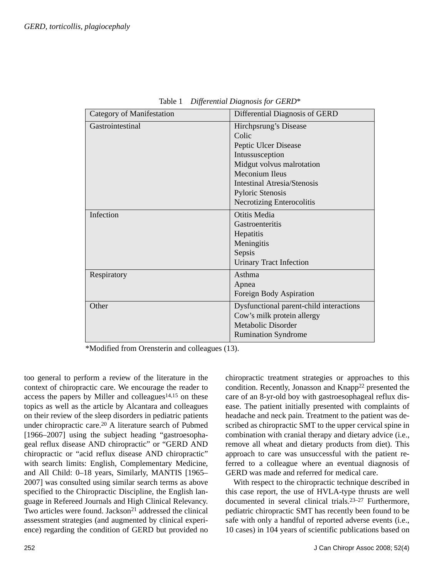| <b>Category of Manifestation</b> | Differential Diagnosis of GERD                                                                                                                                                                                                       |
|----------------------------------|--------------------------------------------------------------------------------------------------------------------------------------------------------------------------------------------------------------------------------------|
| Gastrointestinal                 | Hirchpsrung's Disease<br>Colic<br>Peptic Ulcer Disease<br>Intussusception<br>Midgut volvus malrotation<br><b>Meconium Ileus</b><br><b>Intestinal Atresia/Stenosis</b><br><b>Pyloric Stenosis</b><br><b>Necrotizing Enterocolitis</b> |
| Infection                        | Otitis Media<br>Gastroenteritis<br>Hepatitis<br>Meningitis<br>Sepsis<br><b>Urinary Tract Infection</b>                                                                                                                               |
| Respiratory                      | Asthma<br>Apnea<br>Foreign Body Aspiration                                                                                                                                                                                           |
| Other                            | Dysfunctional parent-child interactions<br>Cow's milk protein allergy<br>Metabolic Disorder<br><b>Rumination Syndrome</b>                                                                                                            |

Table 1 *Differential Diagnosis for GERD*\*

\*Modified from Orensterin and colleagues (13).

too general to perform a review of the literature in the context of chiropractic care. We encourage the reader to access the papers by Miller and colleagues $14,15$  on these topics as well as the article by Alcantara and colleagues on their review of the sleep disorders in pediatric patients under chiropractic care.20 A literature search of Pubmed [1966–2007] using the subject heading "gastroesophageal reflux disease AND chiropractic" or "GERD AND chiropractic or "acid reflux disease AND chiropractic" with search limits: English, Complementary Medicine, and All Child: 0–18 years, Similarly, MANTIS [1965– 2007] was consulted using similar search terms as above specified to the Chiropractic Discipline, the English language in Refereed Journals and High Clinical Relevancy. Two articles were found. Jackson<sup>21</sup> addressed the clinical assessment strategies (and augmented by clinical experience) regarding the condition of GERD but provided no

chiropractic treatment strategies or approaches to this condition. Recently, Jonasson and Knapp<sup>22</sup> presented the care of an 8-yr-old boy with gastroesophageal reflux disease. The patient initially presented with complaints of headache and neck pain. Treatment to the patient was described as chiropractic SMT to the upper cervical spine in combination with cranial therapy and dietary advice (i.e., remove all wheat and dietary products from diet). This approach to care was unsuccessful with the patient referred to a colleague where an eventual diagnosis of GERD was made and referred for medical care.

With respect to the chiropractic technique described in this case report, the use of HVLA-type thrusts are well documented in several clinical trials.23–27 Furthermore, pediatric chiropractic SMT has recently been found to be safe with only a handful of reported adverse events (i.e., 10 cases) in 104 years of scientific publications based on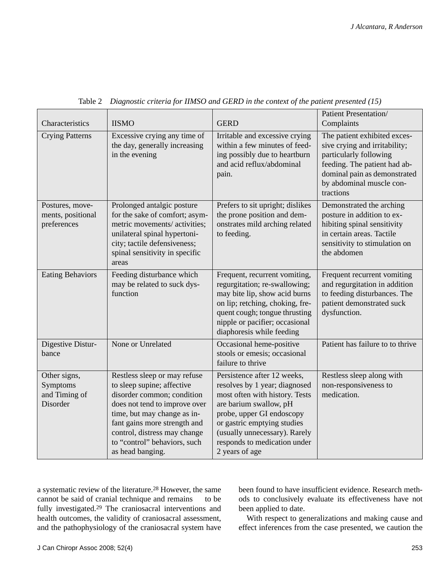| Characteristics                                       | <b>IISMO</b>                                                                                                                                                                                                                                                                 | <b>GERD</b>                                                                                                                                                                                                                                                             | Patient Presentation/<br>Complaints                                                                                                                                                              |
|-------------------------------------------------------|------------------------------------------------------------------------------------------------------------------------------------------------------------------------------------------------------------------------------------------------------------------------------|-------------------------------------------------------------------------------------------------------------------------------------------------------------------------------------------------------------------------------------------------------------------------|--------------------------------------------------------------------------------------------------------------------------------------------------------------------------------------------------|
| <b>Crying Patterns</b>                                | Excessive crying any time of<br>the day, generally increasing<br>in the evening                                                                                                                                                                                              | Irritable and excessive crying<br>within a few minutes of feed-<br>ing possibly due to heartburn<br>and acid reflux/abdominal<br>pain.                                                                                                                                  | The patient exhibited exces-<br>sive crying and irritability;<br>particularly following<br>feeding. The patient had ab-<br>dominal pain as demonstrated<br>by abdominal muscle con-<br>tractions |
| Postures, move-<br>ments, positional<br>preferences   | Prolonged antalgic posture<br>for the sake of comfort; asym-<br>metric movements/ activities;<br>unilateral spinal hypertoni-<br>city; tactile defensiveness;<br>spinal sensitivity in specific<br>areas                                                                     | Prefers to sit upright; dislikes<br>the prone position and dem-<br>onstrates mild arching related<br>to feeding.                                                                                                                                                        | Demonstrated the arching<br>posture in addition to ex-<br>hibiting spinal sensitivity<br>in certain areas. Tactile<br>sensitivity to stimulation on<br>the abdomen                               |
| <b>Eating Behaviors</b>                               | Feeding disturbance which<br>may be related to suck dys-<br>function                                                                                                                                                                                                         | Frequent, recurrent vomiting,<br>regurgitation; re-swallowing;<br>may bite lip, show acid burns<br>on lip; retching, choking, fre-<br>quent cough; tongue thrusting<br>nipple or pacifier; occasional<br>diaphoresis while feeding                                      | Frequent recurrent vomiting<br>and regurgitation in addition<br>to feeding disturbances. The<br>patient demonstrated suck<br>dysfunction.                                                        |
| Digestive Distur-<br>bance                            | None or Unrelated                                                                                                                                                                                                                                                            | Occasional heme-positive<br>stools or emesis; occasional<br>failure to thrive                                                                                                                                                                                           | Patient has failure to to thrive                                                                                                                                                                 |
| Other signs,<br>Symptoms<br>and Timing of<br>Disorder | Restless sleep or may refuse<br>to sleep supine; affective<br>disorder common; condition<br>does not tend to improve over<br>time, but may change as in-<br>fant gains more strength and<br>control, distress may change<br>to "control" behaviors, such<br>as head banging. | Persistence after 12 weeks,<br>resolves by 1 year; diagnosed<br>most often with history. Tests<br>are barium swallow, pH<br>probe, upper GI endoscopy<br>or gastric emptying studies<br>(usually unnecessary). Rarely<br>responds to medication under<br>2 years of age | Restless sleep along with<br>non-responsiveness to<br>medication.                                                                                                                                |

Table 2 *Diagnostic criteria for IIMSO and GERD in the context of the patient presented (15)*

a systematic review of the literature.28 However, the same cannot be said of cranial technique and remains to be fully investigated.29 The craniosacral interventions and health outcomes, the validity of craniosacral assessment, and the pathophysiology of the craniosacral system have

been found to have insufficient evidence. Research methods to conclusively evaluate its effectiveness have not been applied to date.

With respect to generalizations and making cause and effect inferences from the case presented, we caution the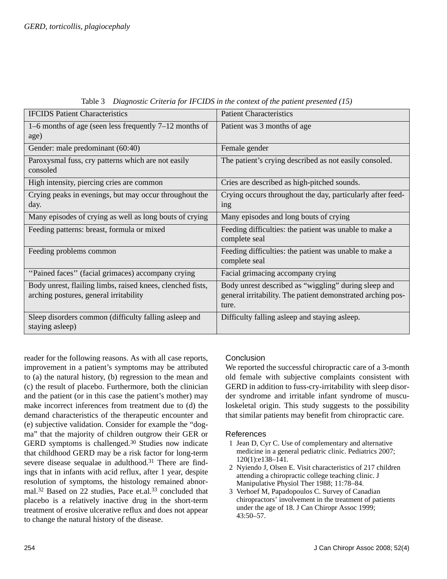| <b>IFCIDS</b> Patient Characteristics                                                                | <b>Patient Characteristics</b>                                                                                               |
|------------------------------------------------------------------------------------------------------|------------------------------------------------------------------------------------------------------------------------------|
| 1–6 months of age (seen less frequently 7–12 months of<br>age)                                       | Patient was 3 months of age                                                                                                  |
| Gender: male predominant (60:40)                                                                     | Female gender                                                                                                                |
| Paroxysmal fuss, cry patterns which are not easily<br>consoled                                       | The patient's crying described as not easily consoled.                                                                       |
| High intensity, piercing cries are common                                                            | Cries are described as high-pitched sounds.                                                                                  |
| Crying peaks in evenings, but may occur throughout the<br>day.                                       | Crying occurs throughout the day, particularly after feed-<br><sub>1</sub> ng                                                |
| Many episodes of crying as well as long bouts of crying                                              | Many episodes and long bouts of crying                                                                                       |
| Feeding patterns: breast, formula or mixed                                                           | Feeding difficulties: the patient was unable to make a<br>complete seal                                                      |
| Feeding problems common                                                                              | Feeding difficulties: the patient was unable to make a<br>complete seal                                                      |
| "Pained faces" (facial grimaces) accompany crying                                                    | Facial grimacing accompany crying                                                                                            |
| Body unrest, flailing limbs, raised knees, clenched fists,<br>arching postures, general irritability | Body unrest described as "wiggling" during sleep and<br>general irritability. The patient demonstrated arching pos-<br>ture. |
| Sleep disorders common (difficulty falling asleep and<br>staying asleep)                             | Difficulty falling asleep and staying asleep.                                                                                |

Table 3 *Diagnostic Criteria for IFCIDS in the context of the patient presented (15)*

reader for the following reasons. As with all case reports, improvement in a patient's symptoms may be attributed to (a) the natural history, (b) regression to the mean and (c) the result of placebo. Furthermore, both the clinician and the patient (or in this case the patient's mother) may make incorrect inferences from treatment due to (d) the demand characteristics of the therapeutic encounter and (e) subjective validation. Consider for example the "dogma" that the majority of children outgrow their GER or GERD symptoms is challenged.30 Studies now indicate that childhood GERD may be a risk factor for long-term severe disease sequalae in adulthood.31 There are findings that in infants with acid reflux, after 1 year, despite resolution of symptoms, the histology remained abnormal.32 Based on 22 studies, Pace et.al.33 concluded that placebo is a relatively inactive drug in the short-term treatment of erosive ulcerative reflux and does not appear to change the natural history of the disease.

# **Conclusion**

We reported the successful chiropractic care of a 3-month old female with subjective complaints consistent with GERD in addition to fuss-cry-irritability with sleep disorder syndrome and irritable infant syndrome of musculoskeletal origin. This study suggests to the possibility that similar patients may benefit from chiropractic care.

## References

- 1 Jean D, Cyr C. Use of complementary and alternative medicine in a general pediatric clinic. Pediatrics 2007; 120(1):e138–141.
- 2 Nyiendo J, Olsen E. Visit characteristics of 217 children attending a chiropractic college teaching clinic. J Manipulative Physiol Ther 1988; 11:78–84.
- 3 Verhoef M, Papadopoulos C. Survey of Canadian chiropractors' involvement in the treatment of patients under the age of 18. J Can Chiropr Assoc 1999; 43:50–57.